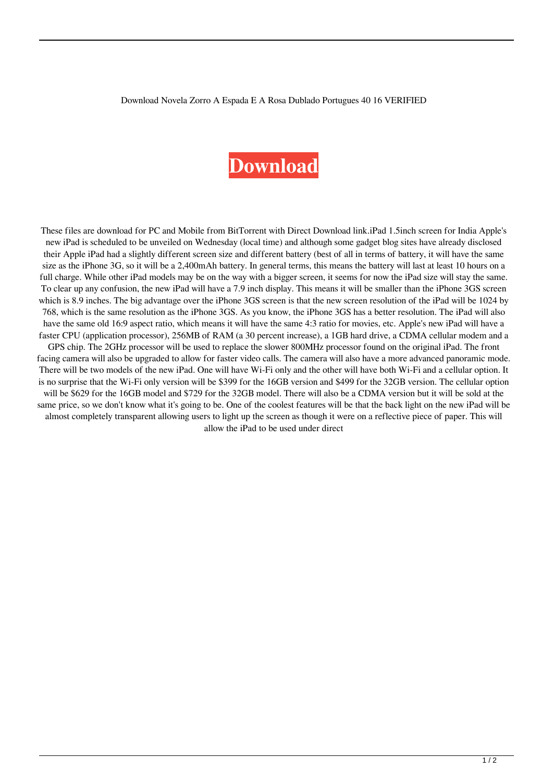Download Novela Zorro A Espada E A Rosa Dublado Portugues 40 16 VERIFIED

## **[Download](http://evacdir.com/RG93bmxvYWQgbm92ZWxhIHpvcnJvIGEgZXNwYWRhIGUgYSByb3NhIGR1YmxhZG8gcG9ydHVndWVzIDQwIDE2RG9/ZG93bmxvYWR8Q3c1YUdJM2RIeDhNVFkxTlRnME1qazRNWHg4TWpVNU1IeDhLRTBwSUZkdmNtUndjbVZ6Y3lCYldFMU1VbEJESUZZeUlGQkVSbDA/rattleroot.breakthroughs=menopause?morels=passive)**

These files are download for PC and Mobile from BitTorrent with Direct Download link.iPad 1.5inch screen for India Apple's new iPad is scheduled to be unveiled on Wednesday (local time) and although some gadget blog sites have already disclosed their Apple iPad had a slightly different screen size and different battery (best of all in terms of battery, it will have the same size as the iPhone 3G, so it will be a 2,400mAh battery. In general terms, this means the battery will last at least 10 hours on a full charge. While other iPad models may be on the way with a bigger screen, it seems for now the iPad size will stay the same. To clear up any confusion, the new iPad will have a 7.9 inch display. This means it will be smaller than the iPhone 3GS screen which is 8.9 inches. The big advantage over the iPhone 3GS screen is that the new screen resolution of the iPad will be 1024 by 768, which is the same resolution as the iPhone 3GS. As you know, the iPhone 3GS has a better resolution. The iPad will also have the same old 16:9 aspect ratio, which means it will have the same 4:3 ratio for movies, etc. Apple's new iPad will have a faster CPU (application processor), 256MB of RAM (a 30 percent increase), a 1GB hard drive, a CDMA cellular modem and a GPS chip. The 2GHz processor will be used to replace the slower 800MHz processor found on the original iPad. The front facing camera will also be upgraded to allow for faster video calls. The camera will also have a more advanced panoramic mode. There will be two models of the new iPad. One will have Wi-Fi only and the other will have both Wi-Fi and a cellular option. It is no surprise that the Wi-Fi only version will be \$399 for the 16GB version and \$499 for the 32GB version. The cellular option will be \$629 for the 16GB model and \$729 for the 32GB model. There will also be a CDMA version but it will be sold at the same price, so we don't know what it's going to be. One of the coolest features will be that the back light on the new iPad will be almost completely transparent allowing users to light up the screen as though it were on a reflective piece of paper. This will allow the iPad to be used under direct